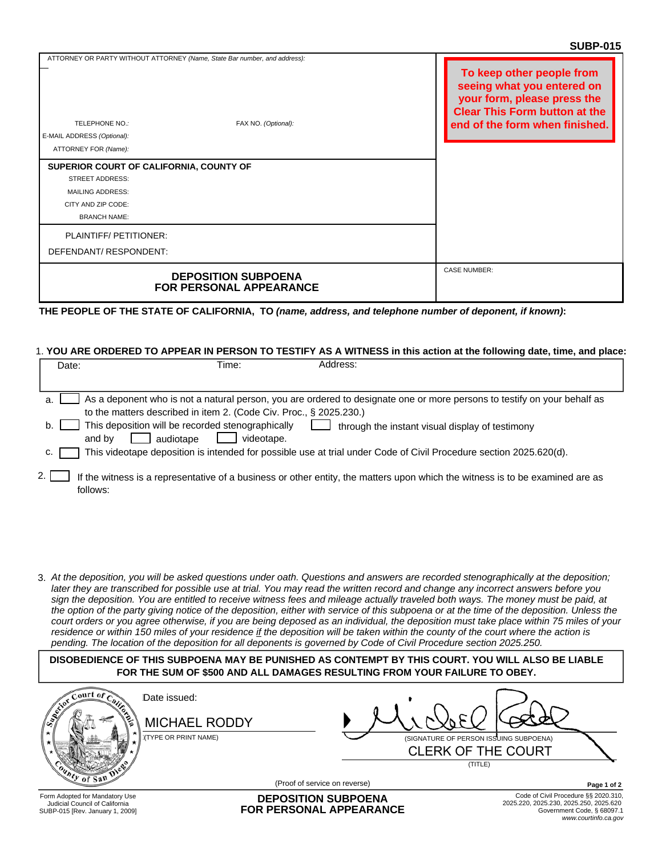|                                                                      |                                                                                                  | טוט־וטטט                                                                                                                                                         |
|----------------------------------------------------------------------|--------------------------------------------------------------------------------------------------|------------------------------------------------------------------------------------------------------------------------------------------------------------------|
| TELEPHONE NO.:<br>E-MAIL ADDRESS (Optional):<br>ATTORNEY FOR (Name): | ATTORNEY OR PARTY WITHOUT ATTORNEY (Name, State Bar number, and address):<br>FAX NO. (Optional): | To keep other people from<br>seeing what you entered on<br>your form, please press the<br><b>Clear This Form button at the</b><br>end of the form when finished. |
| SUPERIOR COURT OF CALIFORNIA, COUNTY OF                              |                                                                                                  |                                                                                                                                                                  |
| <b>STREET ADDRESS:</b>                                               |                                                                                                  |                                                                                                                                                                  |
| <b>MAILING ADDRESS:</b>                                              |                                                                                                  |                                                                                                                                                                  |
| CITY AND ZIP CODE:                                                   |                                                                                                  |                                                                                                                                                                  |
| <b>BRANCH NAME:</b>                                                  |                                                                                                  |                                                                                                                                                                  |
| PLAINTIFF/PETITIONER:                                                |                                                                                                  |                                                                                                                                                                  |
| DEFENDANT/RESPONDENT:                                                |                                                                                                  |                                                                                                                                                                  |
|                                                                      | <b>DEPOSITION SUBPOENA</b><br><b>FOR PERSONAL APPEARANCE</b>                                     | <b>CASE NUMBER:</b>                                                                                                                                              |

**THE PEOPLE OF THE STATE OF CALIFORNIA, TO** *(name, address, and telephone number of deponent, if known)***:**

## 1. **YOU ARE ORDERED TO APPEAR IN PERSON TO TESTIFY AS A WITNESS in this action at the following date, time, and place:**

| Date: | Address:<br>Time:                                                                                                                         |                                                                                                                          |
|-------|-------------------------------------------------------------------------------------------------------------------------------------------|--------------------------------------------------------------------------------------------------------------------------|
|       |                                                                                                                                           |                                                                                                                          |
| a.    |                                                                                                                                           | As a deponent who is not a natural person, you are ordered to designate one or more persons to testify on your behalf as |
|       | to the matters described in item 2. (Code Civ. Proc., § 2025.230.)                                                                        |                                                                                                                          |
| b.    | This deposition will be recorded stenographically<br>audiotape<br>and by<br>videotape.                                                    | through the instant visual display of testimony                                                                          |
| c.    | This videotape deposition is intended for possible use at trial under Code of Civil Procedure section 2025.620(d).                        |                                                                                                                          |
|       | If the witness is a representative of a business or other entity, the matters upon which the witness is to be examined are as<br>follows: |                                                                                                                          |

*At the deposition, you will be asked questions under oath. Questions and answers are recorded stenographically at the deposition;*  3. *later they are transcribed for possible use at trial. You may read the written record and change any incorrect answers before you sign the deposition. You are entitled to receive witness fees and mileage actually traveled both ways. The money must be paid, at the option of the party giving notice of the deposition, either with service of this subpoena or at the time of the deposition. Unless the court orders or you agree otherwise, if you are being deposed as an individual, the deposition must take place within 75 miles of your residence or within 150 miles of your residence if the deposition will be taken within the county of the court where the action is pending. The location of the deposition for all deponents is governed by Code of Civil Procedure section 2025.250.*

**DISOBEDIENCE OF THIS SUBPOENA MAY BE PUNISHED AS CONTEMPT BY THIS COURT. YOU WILL ALSO BE LIABLE FOR THE SUM OF \$500 AND ALL DAMAGES RESULTING FROM YOUR FAILURE TO OBEY.**

| $\text{curl}$ of $\epsilon$                                                                         | Date issued:<br><b>MICHAEL RODDY</b><br><b>WEYPE OR PRINT NAME)</b> |                                                              | (SIGNATURE OF PERSON ISSUING SUBPOENA)<br><b>CLERK OF THE COURT</b><br>(TITLE) |                                        |                                                                                            |
|-----------------------------------------------------------------------------------------------------|---------------------------------------------------------------------|--------------------------------------------------------------|--------------------------------------------------------------------------------|----------------------------------------|--------------------------------------------------------------------------------------------|
|                                                                                                     |                                                                     | (Proof of service on reverse)                                |                                                                                |                                        | Page 1 of 2                                                                                |
| Form Adopted for Mandatory Use<br>Judicial Council of California<br>SUBP-015 [Rev. January 1, 2009] |                                                                     | <b>DEPOSITION SUBPOENA</b><br><b>FOR PERSONAL APPEARANCE</b> |                                                                                | 2025.220, 2025.230, 2025.250, 2025.620 | Code of Civil Procedure §§ 2020.310,<br>Government Code, § 68097.1<br>www.courtinfo.ca.gov |